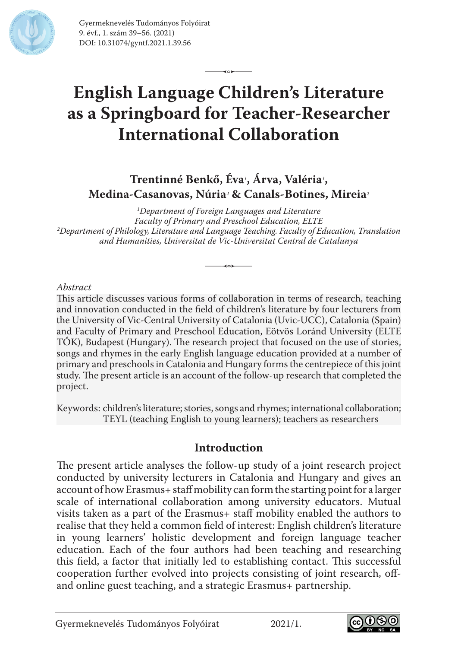

Gyermeknevelés Tudományos Folyóirat 9. évf., 1. szám 39–56. (2021) DOI: 10.31074/gyntf.2021.1.39.56

# **English Language Children's Literature as a Springboard for Teacher-Researcher International Collaboration**

 $\overline{\phantom{a}}$ 

**Trentinné Benkő, Éva***<sup>1</sup>* **, Árva, Valéria***<sup>1</sup>* **, Medina-Casanovas, Núria***<sup>2</sup>*  **& Canals-Botines, Mireia***<sup>2</sup>*

*1 Department of Foreign Languages and Literature Faculty of Primary and Preschool Education, ELTE 2 Department of Philology, Literature and Language Teaching. Faculty of Education, Translation and Humanities, Universitat de Vic-Universitat Central de Catalunya*

 $\overline{\phantom{a}}$ 

#### *Abstract*

This article discusses various forms of collaboration in terms of research, teaching and innovation conducted in the field of children's literature by four lecturers from the University of Vic-Central University of Catalonia (Uvic-UCC), Catalonia (Spain) and Faculty of Primary and Preschool Education, Eötvös Loránd University (ELTE TÓK), Budapest (Hungary). The research project that focused on the use of stories, songs and rhymes in the early English language education provided at a number of primary and preschools in Catalonia and Hungary forms the centrepiece of this joint study. The present article is an account of the follow-up research that completed the project.

Keywords: children's literature; stories, songs and rhymes; international collaboration; TEYL (teaching English to young learners); teachers as researchers

#### **Introduction**

The present article analyses the follow-up study of a joint research project conducted by university lecturers in Catalonia and Hungary and gives an account of how Erasmus+ staff mobility can form the starting point for a larger scale of international collaboration among university educators. Mutual visits taken as a part of the Erasmus+ staff mobility enabled the authors to realise that they held a common field of interest: English children's literature in young learners' holistic development and foreign language teacher education. Each of the four authors had been teaching and researching this field, a factor that initially led to establishing contact. This successful cooperation further evolved into projects consisting of joint research, offand online guest teaching, and a strategic Erasmus+ partnership.

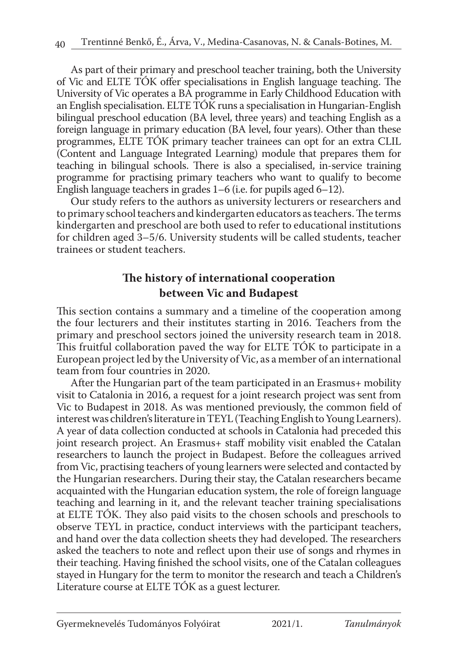As part of their primary and preschool teacher training, both the University of Vic and ELTE TÓK offer specialisations in English language teaching. The University of Vic operates a BA programme in Early Childhood Education with an English specialisation. ELTE TÓK runs a specialisation in Hungarian-English bilingual preschool education (BA level, three years) and teaching English as a foreign language in primary education (BA level, four years). Other than these programmes, ELTE TÓK primary teacher trainees can opt for an extra CLIL (Content and Language Integrated Learning) module that prepares them for teaching in bilingual schools. There is also a specialised, in-service training programme for practising primary teachers who want to qualify to become English language teachers in grades 1–6 (i.e. for pupils aged 6–12).

Our study refers to the authors as university lecturers or researchers and to primary school teachers and kindergarten educators as teachers. The terms kindergarten and preschool are both used to refer to educational institutions for children aged 3–5/6. University students will be called students, teacher trainees or student teachers.

# **The history of international cooperation between Vic and Budapest**

This section contains a summary and a timeline of the cooperation among the four lecturers and their institutes starting in 2016. Teachers from the primary and preschool sectors joined the university research team in 2018. This fruitful collaboration paved the way for ELTE TÓK to participate in a European project led by the University of Vic, as a member of an international team from four countries in 2020.

After the Hungarian part of the team participated in an Erasmus+ mobility visit to Catalonia in 2016, a request for a joint research project was sent from Vic to Budapest in 2018. As was mentioned previously, the common field of interest was children's literature in TEYL (Teaching English to Young Learners). A year of data collection conducted at schools in Catalonia had preceded this joint research project. An Erasmus+ staff mobility visit enabled the Catalan researchers to launch the project in Budapest. Before the colleagues arrived from Vic, practising teachers of young learners were selected and contacted by the Hungarian researchers. During their stay, the Catalan researchers became acquainted with the Hungarian education system, the role of foreign language teaching and learning in it, and the relevant teacher training specialisations at ELTE TÓK. They also paid visits to the chosen schools and preschools to observe TEYL in practice, conduct interviews with the participant teachers, and hand over the data collection sheets they had developed. The researchers asked the teachers to note and reflect upon their use of songs and rhymes in their teaching. Having finished the school visits, one of the Catalan colleagues stayed in Hungary for the term to monitor the research and teach a Children's Literature course at ELTE TÓK as a guest lecturer.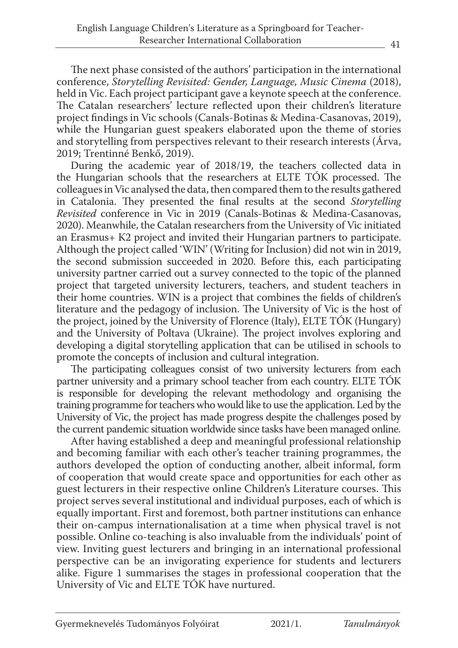The next phase consisted of the authors' participation in the international conference, *Storytelling Revisited: Gender, Language, Music Cinema* (2018), held in Vic. Each project participant gave a keynote speech at the conference. The Catalan researchers' lecture reflected upon their children's literature project findings in Vic schools (Canals-Botinas & Medina-Casanovas, 2019), while the Hungarian guest speakers elaborated upon the theme of stories and storytelling from perspectives relevant to their research interests (Árva, 2019; Trentinné Benkő, 2019).

During the academic year of 2018/19, the teachers collected data in the Hungarian schools that the researchers at ELTE TÓK processed. The colleagues in Vic analysed the data, then compared them to the results gathered in Catalonia. They presented the final results at the second *Storytelling Revisited* conference in Vic in 2019 (Canals-Botinas & Medina-Casanovas, 2020). Meanwhile, the Catalan researchers from the University of Vic initiated an Erasmus+ K2 project and invited their Hungarian partners to participate. Although the project called 'WIN' (Writing for Inclusion) did not win in 2019, the second submission succeeded in 2020. Before this, each participating university partner carried out a survey connected to the topic of the planned project that targeted university lecturers, teachers, and student teachers in their home countries. WIN is a project that combines the fields of children's literature and the pedagogy of inclusion. The University of Vic is the host of the project, joined by the University of Florence (Italy), ELTE TÓK (Hungary) and the University of Poltava (Ukraine). The project involves exploring and developing a digital storytelling application that can be utilised in schools to promote the concepts of inclusion and cultural integration.

The participating colleagues consist of two university lecturers from each partner university and a primary school teacher from each country. ELTE TÓK is responsible for developing the relevant methodology and organising the training programme for teachers who would like to use the application. Led by the University of Vic, the project has made progress despite the challenges posed by the current pandemic situation worldwide since tasks have been managed online.

After having established a deep and meaningful professional relationship and becoming familiar with each other's teacher training programmes, the authors developed the option of conducting another, albeit informal, form of cooperation that would create space and opportunities for each other as guest lecturers in their respective online Children's Literature courses. This project serves several institutional and individual purposes, each of which is equally important. First and foremost, both partner institutions can enhance their on-campus internationalisation at a time when physical travel is not possible. Online co-teaching is also invaluable from the individuals' point of view. Inviting guest lecturers and bringing in an international professional perspective can be an invigorating experience for students and lecturers alike. Figure 1 summarises the stages in professional cooperation that the University of Vic and ELTE TÓK have nurtured.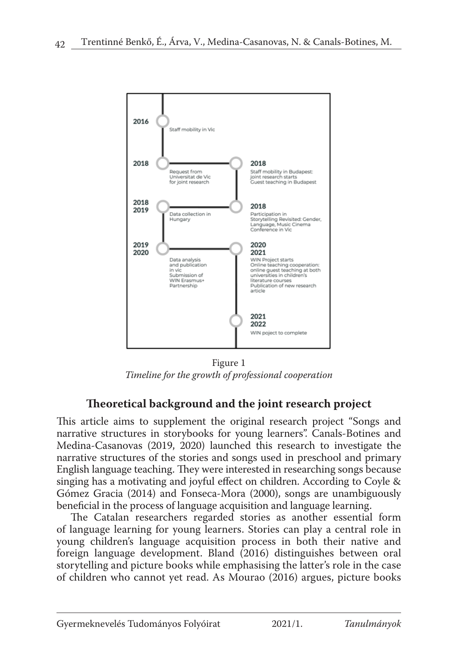

Figure 1 *Timeline for the growth of professional cooperation*

# **Theoretical background and the joint research project**

This article aims to supplement the original research project "Songs and narrative structures in storybooks for young learners". Canals-Botines and Medina-Casanovas (2019, 2020) launched this research to investigate the narrative structures of the stories and songs used in preschool and primary English language teaching. They were interested in researching songs because singing has a motivating and joyful effect on children. According to Coyle & Gómez Gracia (2014) and Fonseca-Mora (2000), songs are unambiguously beneficial in the process of language acquisition and language learning.

The Catalan researchers regarded stories as another essential form of language learning for young learners. Stories can play a central role in young children's language acquisition process in both their native and foreign language development. Bland (2016) distinguishes between oral storytelling and picture books while emphasising the latter's role in the case of children who cannot yet read. As Mourao (2016) argues, picture books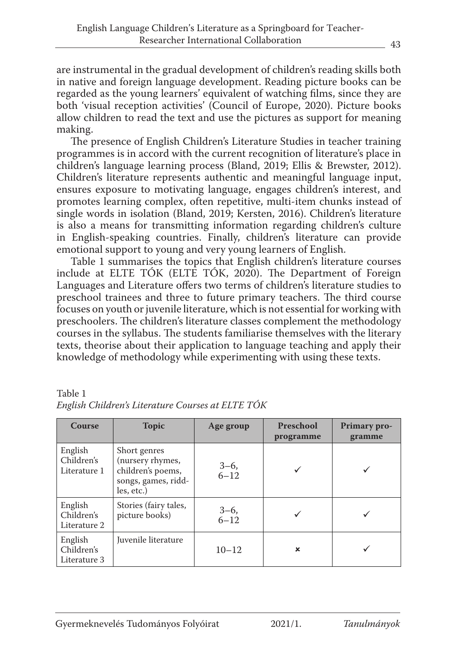are instrumental in the gradual development of children's reading skills both in native and foreign language development. Reading picture books can be regarded as the young learners' equivalent of watching films, since they are both 'visual reception activities' (Council of Europe, 2020). Picture books allow children to read the text and use the pictures as support for meaning making.

The presence of English Children's Literature Studies in teacher training programmes is in accord with the current recognition of literature's place in children's language learning process (Bland, 2019; Ellis & Brewster, 2012). Children's literature represents authentic and meaningful language input, ensures exposure to motivating language, engages children's interest, and promotes learning complex, often repetitive, multi-item chunks instead of single words in isolation (Bland, 2019; Kersten, 2016). Children's literature is also a means for transmitting information regarding children's culture in English-speaking countries. Finally, children's literature can provide emotional support to young and very young learners of English.

Table 1 summarises the topics that English children's literature courses include at ELTE TÓK (ELTE TÓK, 2020). The Department of Foreign Languages and Literature offers two terms of children's literature studies to preschool trainees and three to future primary teachers. The third course focuses on youth or juvenile literature, which is not essential for working with preschoolers. The children's literature classes complement the methodology courses in the syllabus. The students familiarise themselves with the literary texts, theorise about their application to language teaching and apply their knowledge of methodology while experimenting with using these texts.

| Course                                | <b>Topic</b>                                                                               | Age group      | <b>Preschool</b><br>programme | Primary pro-<br>gramme |
|---------------------------------------|--------------------------------------------------------------------------------------------|----------------|-------------------------------|------------------------|
| English<br>Children's<br>Literature 1 | Short genres<br>(nursery rhymes,<br>children's poems,<br>songs, games, ridd-<br>les, etc.) | $3-6,$<br>6-12 |                               |                        |
| English<br>Children's<br>Literature 2 | Stories (fairy tales,<br>picture books)                                                    | $3-6,$<br>6-12 |                               |                        |
| English<br>Children's<br>Literature 3 | Juvenile literature                                                                        | $10 - 12$      | ×                             |                        |

Table 1 *English Children's Literature Courses at ELTE TÓK*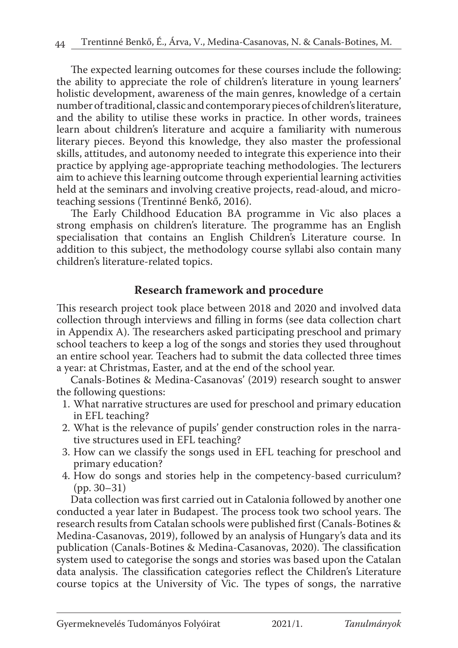The expected learning outcomes for these courses include the following: the ability to appreciate the role of children's literature in young learners' holistic development, awareness of the main genres, knowledge of a certain number of traditional, classic and contemporary pieces of children's literature, and the ability to utilise these works in practice. In other words, trainees learn about children's literature and acquire a familiarity with numerous literary pieces. Beyond this knowledge, they also master the professional skills, attitudes, and autonomy needed to integrate this experience into their practice by applying age-appropriate teaching methodologies. The lecturers aim to achieve this learning outcome through experiential learning activities held at the seminars and involving creative projects, read-aloud, and microteaching sessions (Trentinné Benkő, 2016).

The Early Childhood Education BA programme in Vic also places a strong emphasis on children's literature. The programme has an English specialisation that contains an English Children's Literature course. In addition to this subject, the methodology course syllabi also contain many children's literature-related topics.

## **Research framework and procedure**

This research project took place between 2018 and 2020 and involved data collection through interviews and filling in forms (see data collection chart in Appendix A). The researchers asked participating preschool and primary school teachers to keep a log of the songs and stories they used throughout an entire school year. Teachers had to submit the data collected three times a year: at Christmas, Easter, and at the end of the school year.

Canals-Botines & Medina-Casanovas' (2019) research sought to answer the following questions:

- 1. What narrative structures are used for preschool and primary education in EFL teaching?
- 2. What is the relevance of pupils' gender construction roles in the narrative structures used in EFL teaching?
- 3. How can we classify the songs used in EFL teaching for preschool and primary education?
- 4. How do songs and stories help in the competency-based curriculum? (pp. 30–31)

Data collection was first carried out in Catalonia followed by another one conducted a year later in Budapest. The process took two school years. The research results from Catalan schools were published first (Canals-Botines & Medina-Casanovas, 2019), followed by an analysis of Hungary's data and its publication (Canals-Botines & Medina-Casanovas, 2020). The classification system used to categorise the songs and stories was based upon the Catalan data analysis. The classification categories reflect the Children's Literature course topics at the University of Vic. The types of songs, the narrative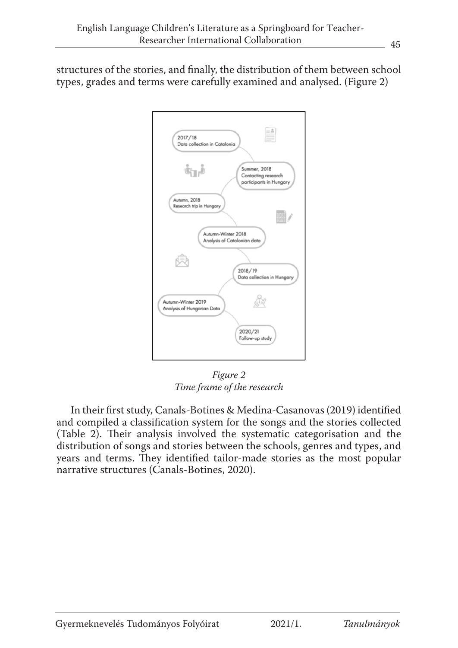structures of the stories, and finally, the distribution of them between school types, grades and terms were carefully examined and analysed. (Figure 2)



*Figure 2 Time frame of the research* 

In their first study, Canals-Botines & Medina-Casanovas (2019) identified and compiled a classification system for the songs and the stories collected (Table 2). Their analysis involved the systematic categorisation and the distribution of songs and stories between the schools, genres and types, and years and terms. They identified tailor-made stories as the most popular narrative structures (Canals-Botines, 2020).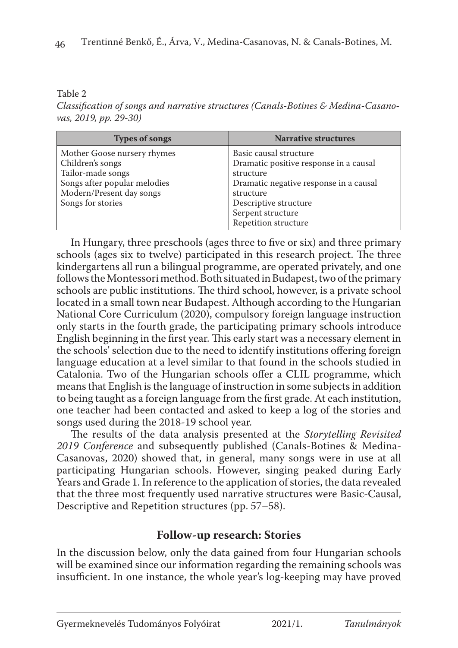#### Table 2

*Classification of songs and narrative structures (Canals-Botines & Medina-Casanovas, 2019, pp. 29-30)*

| <b>Types of songs</b>                                                                                                                                 | <b>Narrative structures</b>                                                                                                                                                                                |
|-------------------------------------------------------------------------------------------------------------------------------------------------------|------------------------------------------------------------------------------------------------------------------------------------------------------------------------------------------------------------|
| Mother Goose nursery rhymes<br>Children's songs<br>Tailor-made songs<br>Songs after popular melodies<br>Modern/Present day songs<br>Songs for stories | Basic causal structure<br>Dramatic positive response in a causal<br>structure<br>Dramatic negative response in a causal<br>structure<br>Descriptive structure<br>Serpent structure<br>Repetition structure |

In Hungary, three preschools (ages three to five or six) and three primary schools (ages six to twelve) participated in this research project. The three kindergartens all run a bilingual programme, are operated privately, and one follows the Montessori method. Both situated in Budapest, two of the primary schools are public institutions. The third school, however, is a private school located in a small town near Budapest. Although according to the Hungarian National Core Curriculum (2020), compulsory foreign language instruction only starts in the fourth grade, the participating primary schools introduce English beginning in the first year. This early start was a necessary element in the schools' selection due to the need to identify institutions offering foreign language education at a level similar to that found in the schools studied in Catalonia. Two of the Hungarian schools offer a CLIL programme, which means that English is the language of instruction in some subjects in addition to being taught as a foreign language from the first grade. At each institution, one teacher had been contacted and asked to keep a log of the stories and songs used during the 2018-19 school year.

The results of the data analysis presented at the *Storytelling Revisited 2019 Conference* and subsequently published (Canals-Botines & Medina-Casanovas, 2020) showed that, in general, many songs were in use at all participating Hungarian schools. However, singing peaked during Early Years and Grade 1. In reference to the application of stories, the data revealed that the three most frequently used narrative structures were Basic-Causal, Descriptive and Repetition structures (pp. 57–58).

## **Follow-up research: Stories**

In the discussion below, only the data gained from four Hungarian schools will be examined since our information regarding the remaining schools was insufficient. In one instance, the whole year's log-keeping may have proved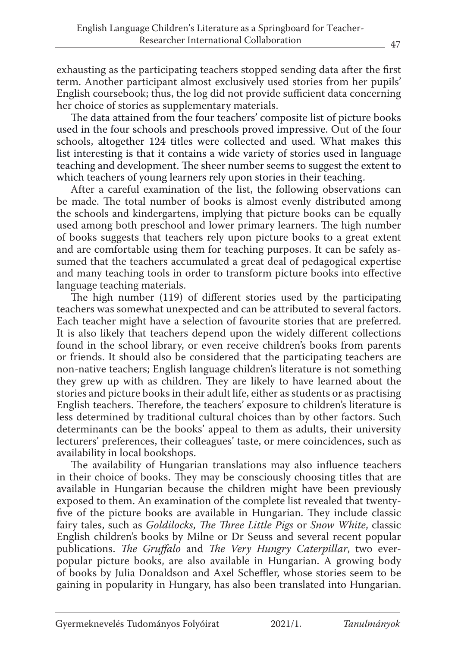exhausting as the participating teachers stopped sending data after the first term. Another participant almost exclusively used stories from her pupils' English coursebook; thus, the log did not provide sufficient data concerning her choice of stories as supplementary materials.

The data attained from the four teachers' composite list of picture books used in the four schools and preschools proved impressive. Out of the four schools, altogether 124 titles were collected and used. What makes this list interesting is that it contains a wide variety of stories used in language teaching and development. The sheer number seems to suggest the extent to which teachers of young learners rely upon stories in their teaching.

After a careful examination of the list, the following observations can be made. The total number of books is almost evenly distributed among the schools and kindergartens, implying that picture books can be equally used among both preschool and lower primary learners. The high number of books suggests that teachers rely upon picture books to a great extent and are comfortable using them for teaching purposes. It can be safely assumed that the teachers accumulated a great deal of pedagogical expertise and many teaching tools in order to transform picture books into effective language teaching materials.

The high number (119) of different stories used by the participating teachers was somewhat unexpected and can be attributed to several factors. Each teacher might have a selection of favourite stories that are preferred. It is also likely that teachers depend upon the widely different collections found in the school library, or even receive children's books from parents or friends. It should also be considered that the participating teachers are non-native teachers; English language children's literature is not something they grew up with as children. They are likely to have learned about the stories and picture books in their adult life, either as students or as practising English teachers. Therefore, the teachers' exposure to children's literature is less determined by traditional cultural choices than by other factors. Such determinants can be the books' appeal to them as adults, their university lecturers' preferences, their colleagues' taste, or mere coincidences, such as availability in local bookshops.

The availability of Hungarian translations may also influence teachers in their choice of books. They may be consciously choosing titles that are available in Hungarian because the children might have been previously exposed to them. An examination of the complete list revealed that twentyfive of the picture books are available in Hungarian. They include classic fairy tales, such as *Goldilocks*, *The Three Little Pigs* or *Snow White*, classic English children's books by Milne or Dr Seuss and several recent popular publications. *The Gruffalo* and *The Very Hungry Caterpillar*, two everpopular picture books, are also available in Hungarian. A growing body of books by Julia Donaldson and Axel Scheffler, whose stories seem to be gaining in popularity in Hungary, has also been translated into Hungarian.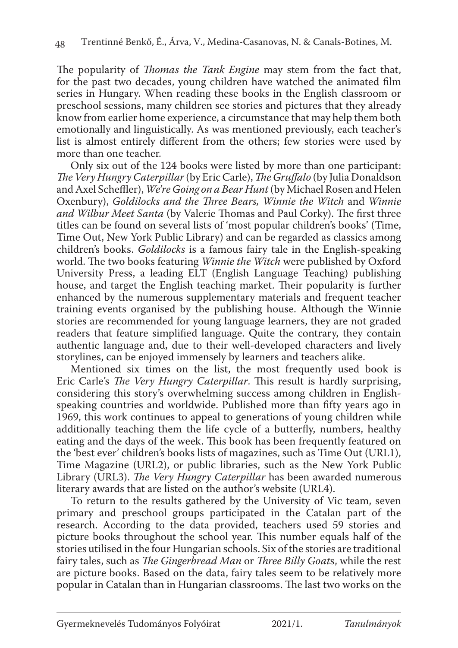The popularity of *Thomas the Tank Engine* may stem from the fact that, for the past two decades, young children have watched the animated film series in Hungary. When reading these books in the English classroom or preschool sessions, many children see stories and pictures that they already know from earlier home experience, a circumstance that may help them both emotionally and linguistically. As was mentioned previously, each teacher's list is almost entirely different from the others; few stories were used by more than one teacher.

Only six out of the 124 books were listed by more than one participant: *The Very Hungry Caterpillar* (by Eric Carle), *The Gruffalo* (by Julia Donaldson and Axel Scheffler), *We're Going on a Bear Hunt* (by Michael Rosen and Helen Oxenbury), *Goldilocks and the Three Bears, Winnie the Witch* and *Winnie and Wilbur Meet Santa* (by Valerie Thomas and Paul Corky). The first three titles can be found on several lists of 'most popular children's books' (Time, Time Out, New York Public Library) and can be regarded as classics among children's books. *Goldilocks* is a famous fairy tale in the English-speaking world. The two books featuring *Winnie the Witch* were published by Oxford University Press, a leading ELT (English Language Teaching) publishing house, and target the English teaching market. Their popularity is further enhanced by the numerous supplementary materials and frequent teacher training events organised by the publishing house. Although the Winnie stories are recommended for young language learners, they are not graded readers that feature simplified language. Quite the contrary, they contain authentic language and, due to their well-developed characters and lively storylines, can be enjoyed immensely by learners and teachers alike.

Mentioned six times on the list, the most frequently used book is Eric Carle's *The Very Hungry Caterpillar*. This result is hardly surprising, considering this story's overwhelming success among children in Englishspeaking countries and worldwide. Published more than fifty years ago in 1969, this work continues to appeal to generations of young children while additionally teaching them the life cycle of a butterfly, numbers, healthy eating and the days of the week. This book has been frequently featured on the 'best ever' children's books lists of magazines, such as Time Out (URL1), Time Magazine (URL2), or public libraries, such as the New York Public Library (URL3). *The Very Hungry Caterpillar* has been awarded numerous literary awards that are listed on the author's website (URL4).

To return to the results gathered by the University of Vic team, seven primary and preschool groups participated in the Catalan part of the research. According to the data provided, teachers used 59 stories and picture books throughout the school year. This number equals half of the stories utilised in the four Hungarian schools. Six of the stories are traditional fairy tales, such as *The Gingerbread Man* or *Three Billy Goat*s, while the rest are picture books. Based on the data, fairy tales seem to be relatively more popular in Catalan than in Hungarian classrooms. The last two works on the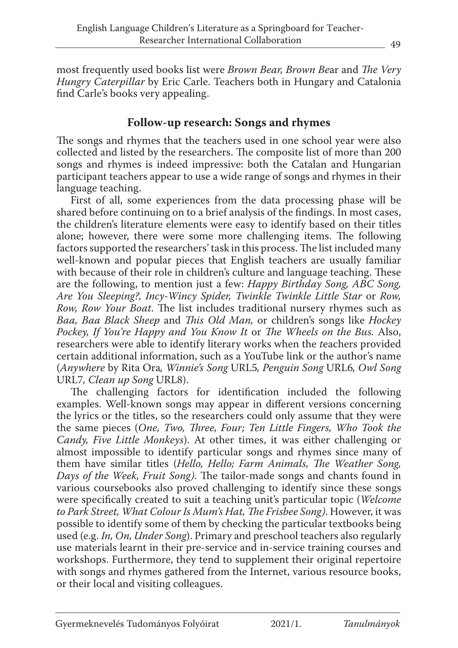most frequently used books list were *Brown Bear, Brown Be*ar and *The Very Hungry Caterpillar* by Eric Carle. Teachers both in Hungary and Catalonia find Carle's books very appealing.

## **Follow-up research: Songs and rhymes**

The songs and rhymes that the teachers used in one school year were also collected and listed by the researchers. The composite list of more than 200 songs and rhymes is indeed impressive: both the Catalan and Hungarian participant teachers appear to use a wide range of songs and rhymes in their language teaching.

First of all, some experiences from the data processing phase will be shared before continuing on to a brief analysis of the findings. In most cases, the children's literature elements were easy to identify based on their titles alone; however, there were some more challenging items. The following factors supported the researchers' task in this process. The list included many well-known and popular pieces that English teachers are usually familiar with because of their role in children's culture and language teaching. These are the following, to mention just a few: *Happy Birthday Song, ABC Song, Are You Sleeping?, Incy-Wincy Spider, Twinkle Twinkle Little Star* or *Row, Row, Row Your Boat*. The list includes traditional nursery rhymes such as *Baa, Baa Black Sheep* and *This Old Man,* or children's songs like *Hockey Pockey, If You're Happy and You Know It* or *The Wheels on the Bus.* Also, researchers were able to identify literary works when the *t*eachers provided certain additional information, such as a YouTube link or the author's name (*Anywhere* by Rita Ora*, Winnie's Song* URL5*, Penguin Song* URL6*, Owl Song*  URL7*, Clean up Song* URL8).

The challenging factors for identification included the following examples. Well-known songs may appear in different versions concerning the lyrics or the titles, so the researchers could only assume that they were the same pieces (*One, Two, Three, Four; Ten Little Fingers, Who Took the Candy, Five Little Monkeys*). At other times, it was either challenging or almost impossible to identify particular songs and rhymes since many of them have similar titles (*Hello, Hello; Farm Animals, The Weather Song, Days of the Week, Fruit Song)*. The tailor-made songs and chants found in various coursebooks also proved challenging to identify since these songs were specifically created to suit a teaching unit's particular topic (*Welcome to Park Street, What Colour Is Mum's Hat, The Frisbee Song)*. However, it was possible to identify some of them by checking the particular textbooks being used (e.g. *In, On, Under Song*). Primary and preschool teachers also regularly use materials learnt in their pre-service and in-service training courses and workshops. Furthermore, they tend to supplement their original repertoire with songs and rhymes gathered from the Internet, various resource books, or their local and visiting colleagues.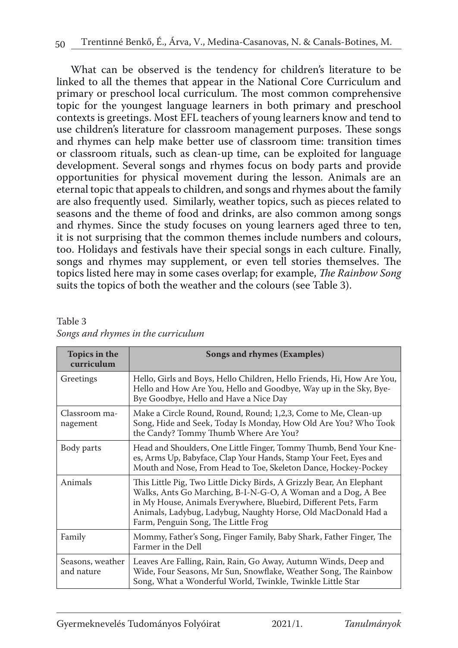What can be observed is the tendency for children's literature to be linked to all the themes that appear in the National Core Curriculum and primary or preschool local curriculum. The most common comprehensive topic for the youngest language learners in both primary and preschool contexts is greetings. Most EFL teachers of young learners know and tend to use children's literature for classroom management purposes. These songs and rhymes can help make better use of classroom time: transition times or classroom rituals, such as clean-up time, can be exploited for language development. Several songs and rhymes focus on body parts and provide opportunities for physical movement during the lesson. Animals are an eternal topic that appeals to children, and songs and rhymes about the family are also frequently used. Similarly, weather topics, such as pieces related to seasons and the theme of food and drinks, are also common among songs and rhymes. Since the study focuses on young learners aged three to ten, it is not surprising that the common themes include numbers and colours, too. Holidays and festivals have their special songs in each culture. Finally, songs and rhymes may supplement, or even tell stories themselves. The topics listed here may in some cases overlap; for example, *The Rainbow Song* suits the topics of both the weather and the colours (see Table 3).

| Table 3 |                                    |  |  |  |
|---------|------------------------------------|--|--|--|
|         | Songs and rhymes in the curriculum |  |  |  |

| Topics in the<br>curriculum    | Songs and rhymes (Examples)                                                                                                                                                                                                                                                                                     |
|--------------------------------|-----------------------------------------------------------------------------------------------------------------------------------------------------------------------------------------------------------------------------------------------------------------------------------------------------------------|
| Greetings                      | Hello, Girls and Boys, Hello Children, Hello Friends, Hi, How Are You,<br>Hello and How Are You, Hello and Goodbye, Way up in the Sky, Bye-<br>Bye Goodbye, Hello and Have a Nice Day                                                                                                                           |
| Classroom ma-<br>nagement      | Make a Circle Round, Round, Round; 1,2,3, Come to Me, Clean-up<br>Song, Hide and Seek, Today Is Monday, How Old Are You? Who Took<br>the Candy? Tommy Thumb Where Are You?                                                                                                                                      |
| Body parts                     | Head and Shoulders, One Little Finger, Tommy Thumb, Bend Your Kne-<br>es, Arms Up, Babyface, Clap Your Hands, Stamp Your Feet, Eyes and<br>Mouth and Nose, From Head to Toe, Skeleton Dance, Hockey-Pockey                                                                                                      |
| Animals                        | This Little Pig, Two Little Dicky Birds, A Grizzly Bear, An Elephant<br>Walks, Ants Go Marching, B-I-N-G-O, A Woman and a Dog, A Bee<br>in My House, Animals Everywhere, Bluebird, Different Pets, Farm<br>Animals, Ladybug, Ladybug, Naughty Horse, Old MacDonald Had a<br>Farm, Penguin Song, The Little Frog |
| Family                         | Mommy, Father's Song, Finger Family, Baby Shark, Father Finger, The<br>Farmer in the Dell                                                                                                                                                                                                                       |
| Seasons, weather<br>and nature | Leaves Are Falling, Rain, Rain, Go Away, Autumn Winds, Deep and<br>Wide, Four Seasons, Mr Sun, Snowflake, Weather Song, The Rainbow<br>Song, What a Wonderful World, Twinkle, Twinkle Little Star                                                                                                               |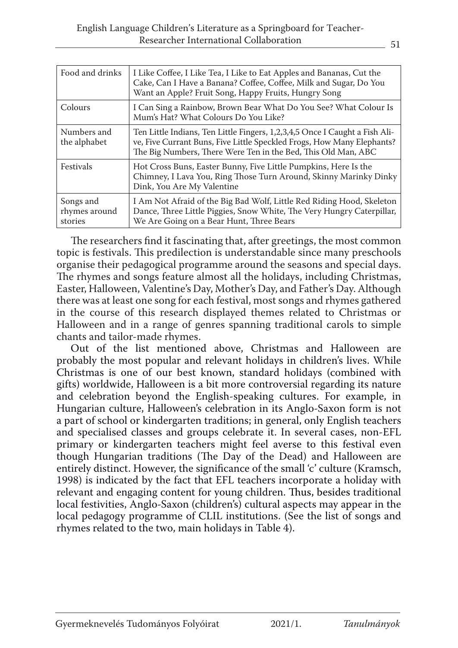| Food and drinks                       | I Like Coffee, I Like Tea, I Like to Eat Apples and Bananas, Cut the<br>Cake, Can I Have a Banana? Coffee, Coffee, Milk and Sugar, Do You<br>Want an Apple? Fruit Song, Happy Fruits, Hungry Song                      |
|---------------------------------------|------------------------------------------------------------------------------------------------------------------------------------------------------------------------------------------------------------------------|
| Colours                               | I Can Sing a Rainbow, Brown Bear What Do You See? What Colour Is<br>Mum's Hat? What Colours Do You Like?                                                                                                               |
| Numbers and<br>the alphabet           | Ten Little Indians, Ten Little Fingers, 1,2,3,4,5 Once I Caught a Fish Ali-<br>ve, Five Currant Buns, Five Little Speckled Frogs, How Many Elephants?<br>The Big Numbers, There Were Ten in the Bed, This Old Man, ABC |
| Festivals                             | Hot Cross Buns, Easter Bunny, Five Little Pumpkins, Here Is the<br>Chimney, I Lava You, Ring Those Turn Around, Skinny Marinky Dinky<br>Dink, You Are My Valentine                                                     |
| Songs and<br>rhymes around<br>stories | I Am Not Afraid of the Big Bad Wolf, Little Red Riding Hood, Skeleton<br>Dance, Three Little Piggies, Snow White, The Very Hungry Caterpillar,<br>We Are Going on a Bear Hunt, Three Bears                             |

The researchers find it fascinating that, after greetings, the most common topic is festivals. This predilection is understandable since many preschools organise their pedagogical programme around the seasons and special days. The rhymes and songs feature almost all the holidays, including Christmas, Easter, Halloween, Valentine's Day, Mother's Day, and Father's Day. Although there was at least one song for each festival, most songs and rhymes gathered in the course of this research displayed themes related to Christmas or Halloween and in a range of genres spanning traditional carols to simple chants and tailor-made rhymes.

Out of the list mentioned above, Christmas and Halloween are probably the most popular and relevant holidays in children's lives. While Christmas is one of our best known, standard holidays (combined with gifts) worldwide, Halloween is a bit more controversial regarding its nature and celebration beyond the English-speaking cultures. For example, in Hungarian culture, Halloween's celebration in its Anglo-Saxon form is not a part of school or kindergarten traditions; in general, only English teachers and specialised classes and groups celebrate it. In several cases, non-EFL primary or kindergarten teachers might feel averse to this festival even though Hungarian traditions (The Day of the Dead) and Halloween are entirely distinct. However, the significance of the small 'c' culture (Kramsch, 1998) is indicated by the fact that EFL teachers incorporate a holiday with relevant and engaging content for young children. Thus, besides traditional local festivities, Anglo-Saxon (children's) cultural aspects may appear in the local pedagogy programme of CLIL institutions. (See the list of songs and rhymes related to the two, main holidays in Table 4).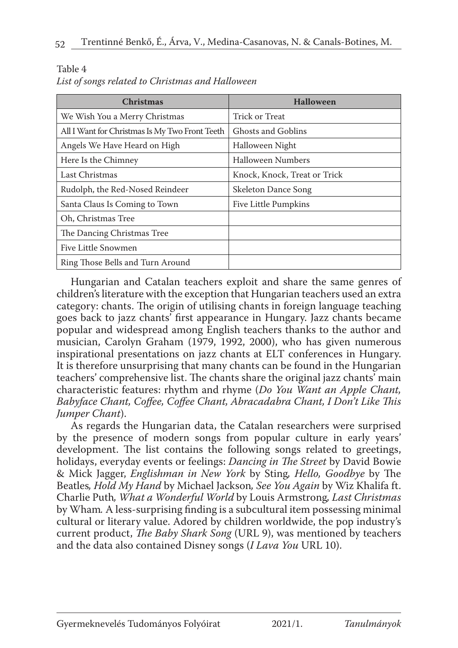Table 4

| <b>Christmas</b>                               | <b>Halloween</b>             |
|------------------------------------------------|------------------------------|
| We Wish You a Merry Christmas                  | Trick or Treat               |
| All I Want for Christmas Is My Two Front Teeth | Ghosts and Goblins           |
| Angels We Have Heard on High                   | Halloween Night              |
| Here Is the Chimney                            | Halloween Numbers            |
| Last Christmas                                 | Knock, Knock, Treat or Trick |
| Rudolph, the Red-Nosed Reindeer                | Skeleton Dance Song          |
| Santa Claus Is Coming to Town                  | Five Little Pumpkins         |
| Oh, Christmas Tree                             |                              |
| The Dancing Christmas Tree                     |                              |
| Five Little Snowmen                            |                              |
| Ring Those Bells and Turn Around               |                              |

Hungarian and Catalan teachers exploit and share the same genres of children's literature with the exception that Hungarian teachers used an extra category: chants. The origin of utilising chants in foreign language teaching goes back to jazz chants' first appearance in Hungary. Jazz chants became popular and widespread among English teachers thanks to the author and musician, Carolyn Graham (1979, 1992, 2000), who has given numerous inspirational presentations on jazz chants at ELT conferences in Hungary. It is therefore unsurprising that many chants can be found in the Hungarian teachers' comprehensive list. The chants share the original jazz chants' main characteristic features: rhythm and rhyme (*Do You Want an Apple Chant, Babyface Chant, Coffee, Coffee Chant, Abracadabra Chant, I Don't Like This Jumper Chant*).

As regards the Hungarian data, the Catalan researchers were surprised by the presence of modern songs from popular culture in early years' development. The list contains the following songs related to greetings, holidays, everyday events or feelings: *Dancing in The Street* by David Bowie & Mick Jagger, *Englishman in New York* by Sting*, Hello, Goodbye* by The Beatles*, Hold My Hand* by Michael Jackson*, See You Again* by Wiz Khalifa ft. Charlie Puth*, What a Wonderful World* by Louis Armstrong*, Last Christmas*  by Wham*.* A less-surprising finding is a subcultural item possessing minimal cultural or literary value. Adored by children worldwide, the pop industry's current product, *The Baby Shark Song* (URL 9), was mentioned by teachers and the data also contained Disney songs (*I Lava You* URL 10).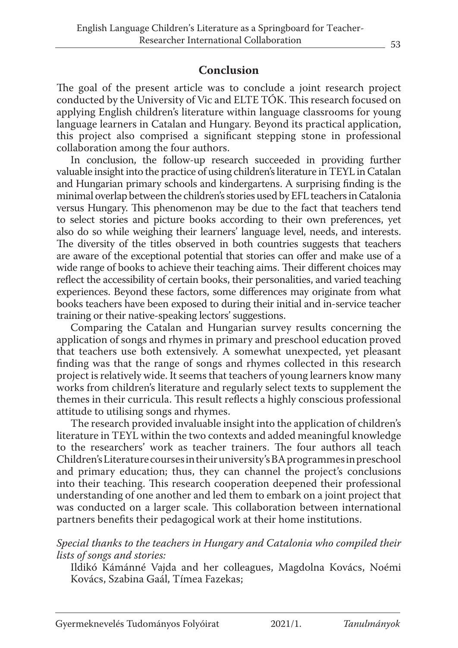# **Conclusion**

The goal of the present article was to conclude a joint research project conducted by the University of Vic and ELTE TÓK. This research focused on applying English children's literature within language classrooms for young language learners in Catalan and Hungary. Beyond its practical application, this project also comprised a significant stepping stone in professional collaboration among the four authors.

In conclusion, the follow-up research succeeded in providing further valuable insight into the practice of using children's literature in TEYL in Catalan and Hungarian primary schools and kindergartens. A surprising finding is the minimal overlap between the children's stories used by EFL teachers in Catalonia versus Hungary. This phenomenon may be due to the fact that teachers tend to select stories and picture books according to their own preferences, yet also do so while weighing their learners' language level, needs, and interests. The diversity of the titles observed in both countries suggests that teachers are aware of the exceptional potential that stories can offer and make use of a wide range of books to achieve their teaching aims. Their different choices may reflect the accessibility of certain books, their personalities, and varied teaching experiences. Beyond these factors, some differences may originate from what books teachers have been exposed to during their initial and in-service teacher training or their native-speaking lectors' suggestions.

Comparing the Catalan and Hungarian survey results concerning the application of songs and rhymes in primary and preschool education proved that teachers use both extensively. A somewhat unexpected, yet pleasant finding was that the range of songs and rhymes collected in this research project is relatively wide. It seems that teachers of young learners know many works from children's literature and regularly select texts to supplement the themes in their curricula. This result reflects a highly conscious professional attitude to utilising songs and rhymes.

The research provided invaluable insight into the application of children's literature in TEYL within the two contexts and added meaningful knowledge to the researchers' work as teacher trainers. The four authors all teach Children's Literature courses in their university's BA programmes in preschool and primary education; thus, they can channel the project's conclusions into their teaching. This research cooperation deepened their professional understanding of one another and led them to embark on a joint project that was conducted on a larger scale. This collaboration between international partners benefits their pedagogical work at their home institutions.

#### *Special thanks to the teachers in Hungary and Catalonia who compiled their lists of songs and stories:*

Ildikó Kámánné Vajda and her colleagues, Magdolna Kovács, Noémi Kovács, Szabina Gaál, Tímea Fazekas;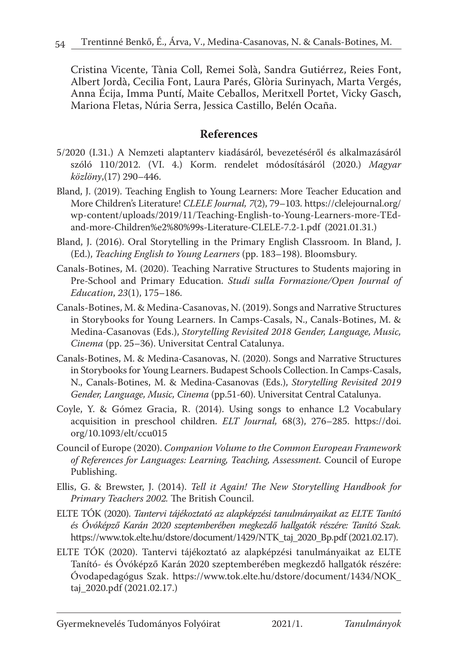Cristina Vicente, Tània Coll, Remei Solà, Sandra Gutiérrez, Reies Font, Albert Jordà, Cecilia Font, Laura Parés, Glòria Surinyach, Marta Vergés, Anna Écija, Imma Puntí, Maite Ceballos, Meritxell Portet, Vicky Gasch, Mariona Fletas, Núria Serra, Jessica Castillo, Belén Ocaña.

## **References**

- 5/2020 (I.31.) A Nemzeti alaptanterv kiadásáról, bevezetéséről és alkalmazásáról szóló 110/2012. (VI. 4.) Korm. rendelet módosításáról (2020.) *Magyar közlöny*,(17) 290–446.
- Bland, J. (2019). Teaching English to Young Learners: More Teacher Education and More Children's Literature! *CLELE Journal, 7*(2), 79–103. https://clelejournal.org/ wp-content/uploads/2019/11/Teaching-English-to-Young-Learners-more-TEdand-more-Children%e2%80%99s-Literature-CLELE-7.2-1.pdf (2021.01.31.)
- Bland, J. (2016). Oral Storytelling in the Primary English Classroom. In Bland, J. (Ed.), *Teaching English to Young Learners* (pp. 183–198). Bloomsbury.
- Canals-Botines, M. (2020). Teaching Narrative Structures to Students majoring in Pre-School and Primary Education. *Studi sulla Formazione/Open Journal of Education*, *23*(1), 175–186.
- Canals-Botines, M. & Medina-Casanovas, N. (2019). Songs and Narrative Structures in Storybooks for Young Learners. In Camps-Casals, N., Canals-Botines, M. & Medina-Casanovas (Eds.), *Storytelling Revisited 2018 Gender, Language, Music, Cinema* (pp. 25–36). Universitat Central Catalunya.
- Canals-Botines, M. & Medina-Casanovas, N. (2020). Songs and Narrative Structures in Storybooks for Young Learners. Budapest Schools Collection. In Camps-Casals, N., Canals-Botines, M. & Medina-Casanovas (Eds.), *Storytelling Revisited 2019 Gender, Language, Music, Cinema* (pp.51-60). Universitat Central Catalunya.
- Coyle, Y. & Gómez Gracia, R. (2014). Using songs to enhance L2 Vocabulary acquisition in preschool children. *ELT Journal,* 68(3), 276–285. https://doi. org/10.1093/elt/ccu015
- Council of Europe (2020). *Companion Volume to the Common European Framework of References for Languages: Learning, Teaching, Assessment.* Council of Europe Publishing.
- Ellis, G. & Brewster, J. (2014). *Tell it Again! The New Storytelling Handbook for Primary Teachers 2002.* The British Council.
- ELTE TÓK (2020). *Tantervi tájékoztató az alapképzési tanulmányaikat az ELTE Tanító és Óvóképző Karán 2020 szeptemberében megkezdő hallgatók részére: Tanító Szak.* https://www.tok.elte.hu/dstore/document/1429/NTK\_taj\_2020\_Bp.pdf (2021.02.17).
- ELTE TÓK (2020). Tantervi tájékoztató az alapképzési tanulmányaikat az ELTE Tanító- és Óvóképző Karán 2020 szeptemberében megkezdő hallgatók részére: Óvodapedagógus Szak. https://www.tok.elte.hu/dstore/document/1434/NOK\_ taj\_2020.pdf (2021.02.17.)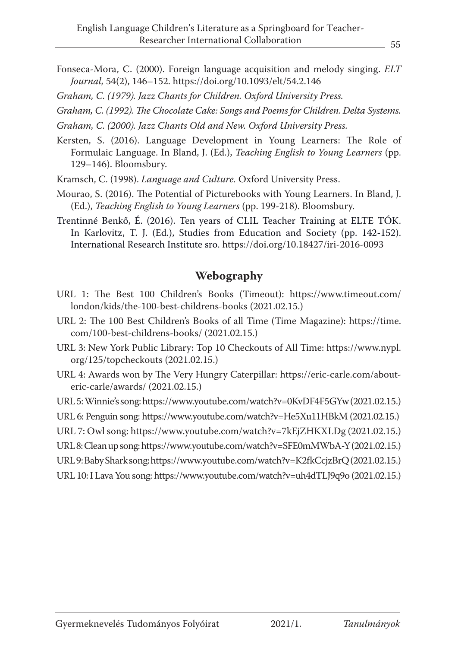- Fonseca-Mora, C. (2000). Foreign language acquisition and melody singing. *ELT Journal,* 54(2), 146–152. https://doi.org/10.1093/elt/54.2.146
- *Graham, C. (1979). Jazz Chants for Children. Oxford University Press.*
- *Graham, C. (1992). The Chocolate Cake: Songs and Poems for Children. Delta Systems.*
- *Graham, C. (2000). Jazz Chants Old and New. Oxford University Press.*
- Kersten, S. (2016). Language Development in Young Learners: The Role of Formulaic Language. In Bland, J. (Ed.), *Teaching English to Young Learners* (pp. 129–146). Bloomsbury.
- Kramsch, C. (1998). *Language and Culture.* Oxford University Press.
- Mourao, S. (2016). The Potential of Picturebooks with Young Learners. In Bland, J. (Ed.), *Teaching English to Young Learners* (pp. 199-218). Bloomsbury.
- Trentinné Benkő, É. (2016). Ten years of CLIL Teacher Training at ELTE TÓK. In Karlovitz, T. J. (Ed.), Studies from Education and Society (pp. 142-152). International Research Institute sro. https://doi.org/10.18427/iri-2016-0093

#### **Webography**

- URL 1: The Best 100 Children's Books (Timeout): https://www.timeout.com/ london/kids/the-100-best-childrens-books (2021.02.15.)
- URL 2: The 100 Best Children's Books of all Time (Time Magazine): https://time. com/100-best-childrens-books/ (2021.02.15.)
- URL 3: New York Public Library: Top 10 Checkouts of All Time: https://www.nypl. org/125/topcheckouts (2021.02.15.)
- URL 4: Awards won by The Very Hungry Caterpillar: https://eric-carle.com/abouteric-carle/awards/ (2021.02.15.)

URL 5: Winnie's song: https://www.youtube.com/watch?v=0KvDF4F5GYw (2021.02.15.)

URL 6: Penguin song: https://www.youtube.com/watch?v=He5Xu11HBkM (2021.02.15.)

- URL 7: Owl song: https://www.youtube.com/watch?v=7kEjZHKXLDg (2021.02.15.)
- URL 8: Clean up song: https://www.youtube.com/watch?v=SFE0mMWbA-Y (2021.02.15.)
- URL 9: Baby Shark song: https://www.youtube.com/watch?v=K2fkCcjzBrQ (2021.02.15.)
- URL 10: I Lava You song: https://www.youtube.com/watch?v=uh4dTLJ9q9o (2021.02.15.)